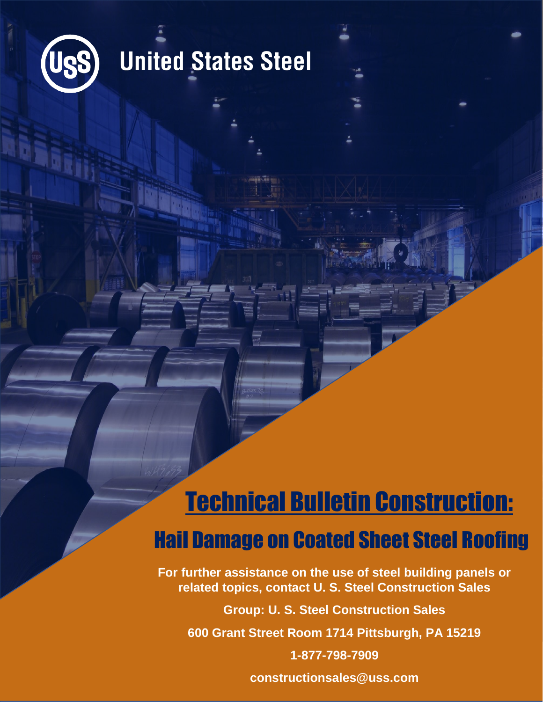

### **United States Steel**

### Technical Bulletin Construction: Hail Damage on Coated Sheet Steel Roofing

**For further assistance on the use of steel building panels or related topics, contact U. S. Steel Construction Sales**

**Group: U. S. Steel Construction Sales 600 Grant Street Room 1714 Pittsburgh, PA 15219 1-877-798-7909**

**constructionsales@uss.com**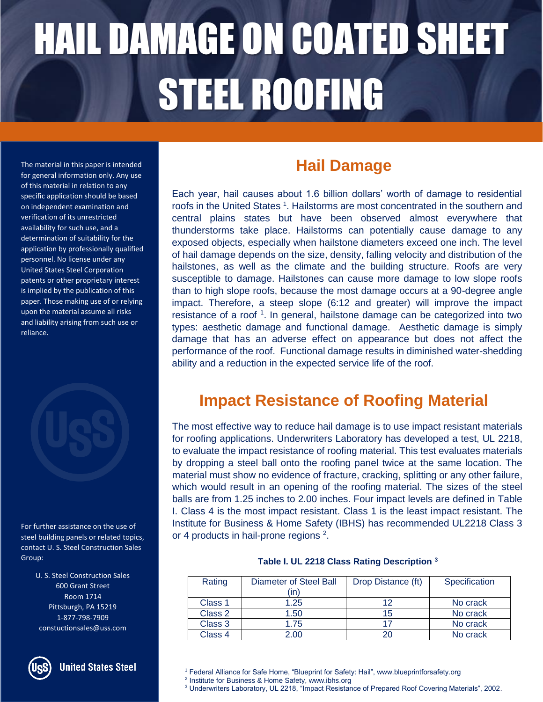# HAIL DAMAGE ON COATED SHEET STEEL ROOFING

The material in this paper is intended for general information only. Any use of this material in relation to any specific application should be based on independent examination and verification of its unrestricted availability for such use, and a determination of suitability for the application by professionally qualified personnel. No license under any United States Steel Corporation patents or other proprietary interest is implied by the publication of this paper. Those making use of or relying upon the material assume all risks and liability arising from such use or reliance.



For further assistance on the use of steel building panels or related topics, contact U. S. Steel Construction Sales Group:

> U. S. Steel Construction Sales 600 Grant Street Room 1714 Pittsburgh, PA 15219 1-877-798-7909 constuctionsales@uss.com



#### **Hail Damage**

Each year, hail causes about 1.6 billion dollars' worth of damage to residential roofs in the United States<sup>1</sup>. Hailstorms are most concentrated in the southern and central plains states but have been observed almost everywhere that thunderstorms take place. Hailstorms can potentially cause damage to any exposed objects, especially when hailstone diameters exceed one inch. The level of hail damage depends on the size, density, falling velocity and distribution of the hailstones, as well as the climate and the building structure. Roofs are very susceptible to damage. Hailstones can cause more damage to low slope roofs than to high slope roofs, because the most damage occurs at a 90-degree angle impact. Therefore, a steep slope (6:12 and greater) will improve the impact resistance of a roof <sup>1</sup>. In general, hailstone damage can be categorized into two types: aesthetic damage and functional damage. Aesthetic damage is simply damage that has an adverse effect on appearance but does not affect the performance of the roof. Functional damage results in diminished water-shedding ability and a reduction in the expected service life of the roof.

#### **Impact Resistance of Roofing Material**

The most effective way to reduce hail damage is to use impact resistant materials for roofing applications. Underwriters Laboratory has developed a test, UL 2218, to evaluate the impact resistance of roofing material. This test evaluates materials by dropping a steel ball onto the roofing panel twice at the same location. The material must show no evidence of fracture, cracking, splitting or any other failure, which would result in an opening of the roofing material. The sizes of the steel balls are from 1.25 inches to 2.00 inches. Four impact levels are defined in Table I. Class 4 is the most impact resistant. Class 1 is the least impact resistant. The Institute for Business & Home Safety (IBHS) has recommended UL2218 Class 3 or 4 products in hail-prone regions  $2$ .

#### **Table I. UL 2218 Class Rating Description <sup>3</sup>**

| Rating  | Diameter of Steel Ball<br>(in) | Drop Distance (ft) | Specification |
|---------|--------------------------------|--------------------|---------------|
| Class 1 | 1.25                           | 12                 | No crack      |
| Class 2 | 1.50                           | 15                 | No crack      |
| Class 3 | 1.75                           |                    | No crack      |
| Class 4 | 2.00                           | 20                 | No crack      |

<sup>&</sup>lt;sup>1</sup> Federal Alliance for Safe Home, "Blueprint for Safety: Hail", www.blueprintforsafety.org

<sup>2</sup> Institute for Business & Home Safety, www.ibhs.org

<sup>3</sup> Underwriters Laboratory, UL 2218, "Impact Resistance of Prepared Roof Covering Materials", 2002.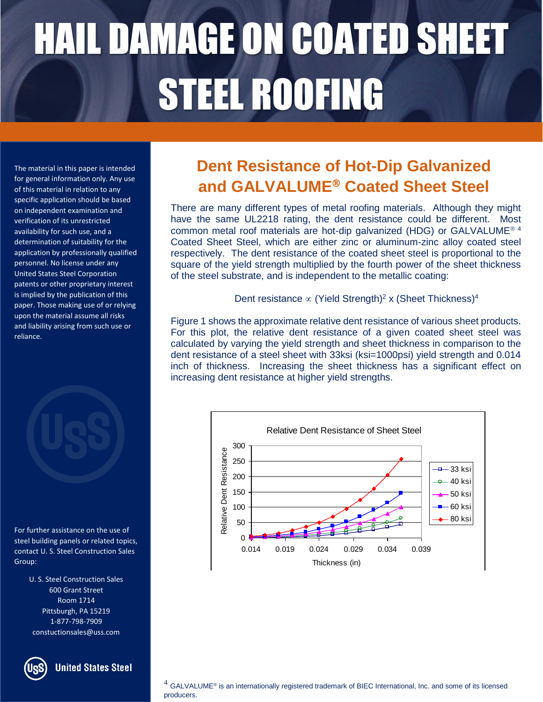# HAIL DAMAGE ON COATED SHEET STEEL ROOFING

The material in this paper is intended for general information only. Any use of this material in relation to any specific application should be based on independent examination and verification of its unrestricted availability for such use, and a determination of suitability for the application by professionally qualified personnel. No license under any United States Steel Corporation patents or other proprietary interest is implied by the publication of this paper. Those making use of or relying upon the material assume all risks and liability arising from such use or reliance.

For further assistance on the use of steel building panels or related topics, contact U. S. Steel Construction Sales Group:

> U. S. Steel Construction Sales 600 Grant Street Room 1714 Pittsburgh, PA 15219 1-877-798-7909 constuctionsales@uss.com

**United States Steel** 

### **Dent Resistance of Hot-Dip Galvanized and GALVALUME Coated Sheet Steel**

There are many different types of metal roofing materials. Although they might There are many different types of metal roomig materials. Although they might<br>have the same UL2218 rating, the dent resistance could be different. Most common metal roof materials are hot-dip galvanized (HDG) or GALVALUME<sup>® 4</sup> Coated Sheet Steel, which are either zinc or aluminum-zinc alloy coated steel respectively. The dent resistance of the coated sheet steel is proportional to the square of the yield strength multiplied by the fourth power of the sheet thickness of the steel substrate, and is independent to the metallic coating:

Dent resistance  $\infty$  (Yield Strength)<sup>2</sup> x (Sheet Thickness)<sup>4</sup>

Figure 1 shows the approximate relative dent resistance of various sheet products. For this plot, the relative dent resistance of a given coated sheet steel was calculated by varying the yield strength and sheet thickness in comparison to the dent resistance of a steel sheet with 33ksi (ksi=1000psi) yield strength and 0.014 inch of thickness. Increasing the sheet thickness has a significant effect on increasing dent resistance at higher yield strengths.